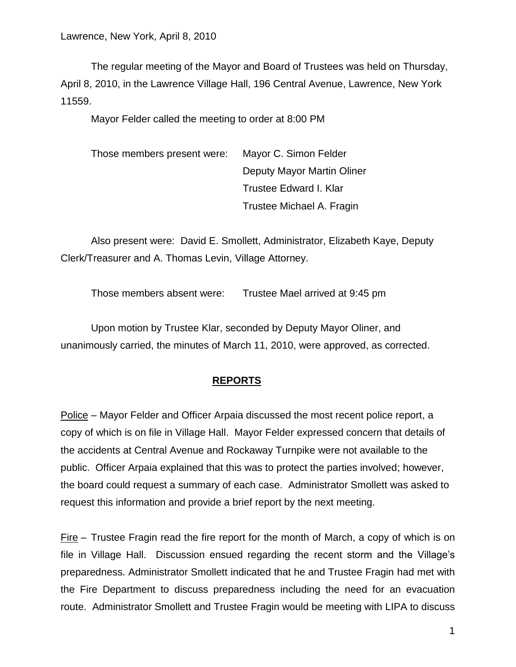The regular meeting of the Mayor and Board of Trustees was held on Thursday, April 8, 2010, in the Lawrence Village Hall, 196 Central Avenue, Lawrence, New York 11559.

Mayor Felder called the meeting to order at 8:00 PM

Those members present were: Mayor C. Simon Felder Deputy Mayor Martin Oliner Trustee Edward I. Klar Trustee Michael A. Fragin

Also present were: David E. Smollett, Administrator, Elizabeth Kaye, Deputy Clerk/Treasurer and A. Thomas Levin, Village Attorney.

Those members absent were: Trustee Mael arrived at 9:45 pm

Upon motion by Trustee Klar, seconded by Deputy Mayor Oliner, and unanimously carried, the minutes of March 11, 2010, were approved, as corrected.

## **REPORTS**

Police – Mayor Felder and Officer Arpaia discussed the most recent police report, a copy of which is on file in Village Hall. Mayor Felder expressed concern that details of the accidents at Central Avenue and Rockaway Turnpike were not available to the public. Officer Arpaia explained that this was to protect the parties involved; however, the board could request a summary of each case. Administrator Smollett was asked to request this information and provide a brief report by the next meeting.

 $Fire -$  Trustee Fragin read the fire report for the month of March, a copy of which is on file in Village Hall. Discussion ensued regarding the recent storm and the Village's preparedness. Administrator Smollett indicated that he and Trustee Fragin had met with the Fire Department to discuss preparedness including the need for an evacuation route. Administrator Smollett and Trustee Fragin would be meeting with LIPA to discuss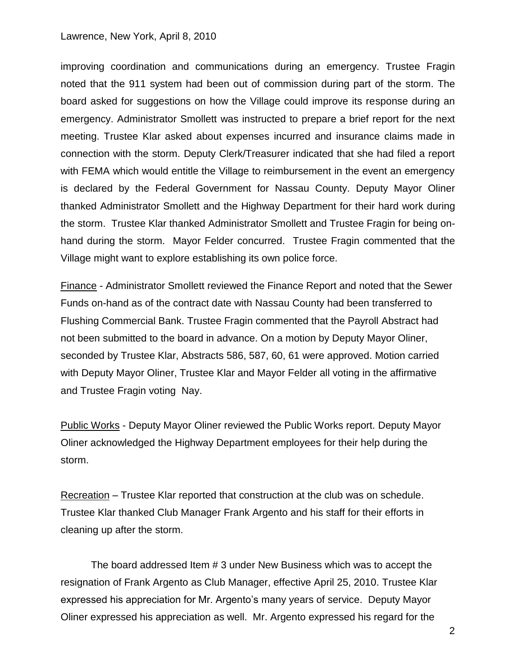improving coordination and communications during an emergency. Trustee Fragin noted that the 911 system had been out of commission during part of the storm. The board asked for suggestions on how the Village could improve its response during an emergency. Administrator Smollett was instructed to prepare a brief report for the next meeting. Trustee Klar asked about expenses incurred and insurance claims made in connection with the storm. Deputy Clerk/Treasurer indicated that she had filed a report with FEMA which would entitle the Village to reimbursement in the event an emergency is declared by the Federal Government for Nassau County. Deputy Mayor Oliner thanked Administrator Smollett and the Highway Department for their hard work during the storm. Trustee Klar thanked Administrator Smollett and Trustee Fragin for being onhand during the storm. Mayor Felder concurred. Trustee Fragin commented that the Village might want to explore establishing its own police force.

Finance - Administrator Smollett reviewed the Finance Report and noted that the Sewer Funds on-hand as of the contract date with Nassau County had been transferred to Flushing Commercial Bank. Trustee Fragin commented that the Payroll Abstract had not been submitted to the board in advance. On a motion by Deputy Mayor Oliner, seconded by Trustee Klar, Abstracts 586, 587, 60, 61 were approved. Motion carried with Deputy Mayor Oliner, Trustee Klar and Mayor Felder all voting in the affirmative and Trustee Fragin voting Nay.

Public Works - Deputy Mayor Oliner reviewed the Public Works report. Deputy Mayor Oliner acknowledged the Highway Department employees for their help during the storm.

Recreation – Trustee Klar reported that construction at the club was on schedule. Trustee Klar thanked Club Manager Frank Argento and his staff for their efforts in cleaning up after the storm.

The board addressed Item # 3 under New Business which was to accept the resignation of Frank Argento as Club Manager, effective April 25, 2010. Trustee Klar expressed his appreciation for Mr. Argento's many years of service. Deputy Mayor Oliner expressed his appreciation as well. Mr. Argento expressed his regard for the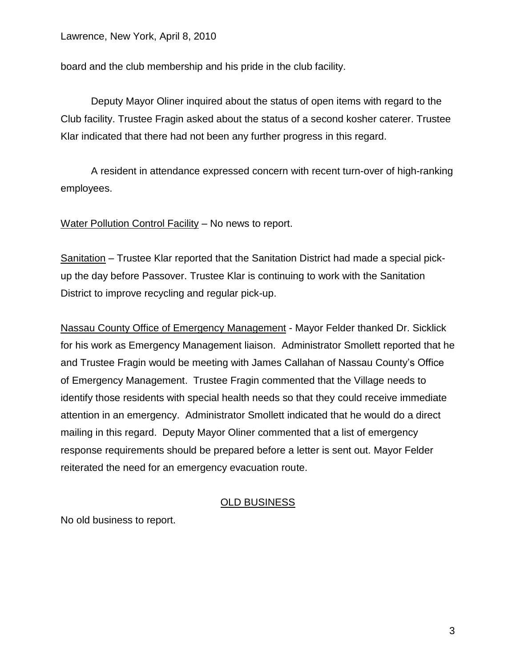board and the club membership and his pride in the club facility.

Deputy Mayor Oliner inquired about the status of open items with regard to the Club facility. Trustee Fragin asked about the status of a second kosher caterer. Trustee Klar indicated that there had not been any further progress in this regard.

A resident in attendance expressed concern with recent turn-over of high-ranking employees.

Water Pollution Control Facility – No news to report.

Sanitation – Trustee Klar reported that the Sanitation District had made a special pickup the day before Passover. Trustee Klar is continuing to work with the Sanitation District to improve recycling and regular pick-up.

Nassau County Office of Emergency Management - Mayor Felder thanked Dr. Sicklick for his work as Emergency Management liaison. Administrator Smollett reported that he and Trustee Fragin would be meeting with James Callahan of Nassau County's Office of Emergency Management. Trustee Fragin commented that the Village needs to identify those residents with special health needs so that they could receive immediate attention in an emergency. Administrator Smollett indicated that he would do a direct mailing in this regard. Deputy Mayor Oliner commented that a list of emergency response requirements should be prepared before a letter is sent out. Mayor Felder reiterated the need for an emergency evacuation route.

# OLD BUSINESS

No old business to report.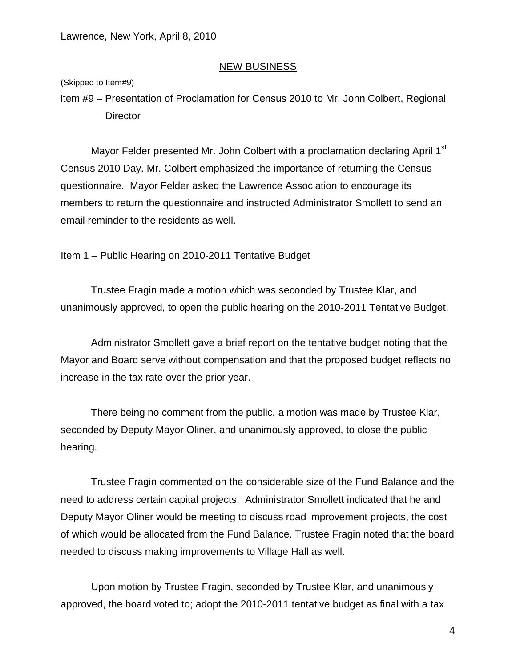### NEW BUSINESS

### (Skipped to Item#9)

Item #9 – Presentation of Proclamation for Census 2010 to Mr. John Colbert, Regional **Director** 

Mayor Felder presented Mr. John Colbert with a proclamation declaring April 1<sup>st</sup> Census 2010 Day. Mr. Colbert emphasized the importance of returning the Census questionnaire. Mayor Felder asked the Lawrence Association to encourage its members to return the questionnaire and instructed Administrator Smollett to send an email reminder to the residents as well.

Item 1 – Public Hearing on 2010-2011 Tentative Budget

Trustee Fragin made a motion which was seconded by Trustee Klar, and unanimously approved, to open the public hearing on the 2010-2011 Tentative Budget.

Administrator Smollett gave a brief report on the tentative budget noting that the Mayor and Board serve without compensation and that the proposed budget reflects no increase in the tax rate over the prior year.

There being no comment from the public, a motion was made by Trustee Klar, seconded by Deputy Mayor Oliner, and unanimously approved, to close the public hearing.

Trustee Fragin commented on the considerable size of the Fund Balance and the need to address certain capital projects. Administrator Smollett indicated that he and Deputy Mayor Oliner would be meeting to discuss road improvement projects, the cost of which would be allocated from the Fund Balance. Trustee Fragin noted that the board needed to discuss making improvements to Village Hall as well.

Upon motion by Trustee Fragin, seconded by Trustee Klar, and unanimously approved, the board voted to; adopt the 2010-2011 tentative budget as final with a tax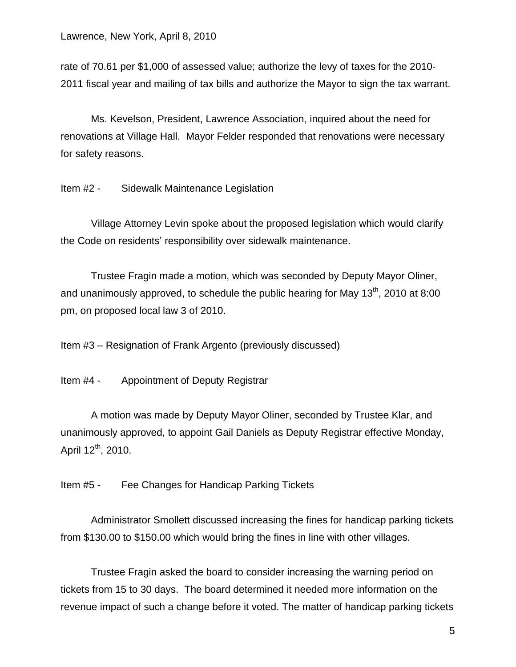rate of 70.61 per \$1,000 of assessed value; authorize the levy of taxes for the 2010- 2011 fiscal year and mailing of tax bills and authorize the Mayor to sign the tax warrant.

Ms. Kevelson, President, Lawrence Association, inquired about the need for renovations at Village Hall. Mayor Felder responded that renovations were necessary for safety reasons.

Item #2 - Sidewalk Maintenance Legislation

Village Attorney Levin spoke about the proposed legislation which would clarify the Code on residents' responsibility over sidewalk maintenance.

Trustee Fragin made a motion, which was seconded by Deputy Mayor Oliner, and unanimously approved, to schedule the public hearing for May  $13<sup>th</sup>$ , 2010 at 8:00 pm, on proposed local law 3 of 2010.

Item #3 – Resignation of Frank Argento (previously discussed)

Item #4 - Appointment of Deputy Registrar

A motion was made by Deputy Mayor Oliner, seconded by Trustee Klar, and unanimously approved, to appoint Gail Daniels as Deputy Registrar effective Monday, April  $12^{th}$ , 2010.

Item #5 - Fee Changes for Handicap Parking Tickets

Administrator Smollett discussed increasing the fines for handicap parking tickets from \$130.00 to \$150.00 which would bring the fines in line with other villages.

Trustee Fragin asked the board to consider increasing the warning period on tickets from 15 to 30 days. The board determined it needed more information on the revenue impact of such a change before it voted. The matter of handicap parking tickets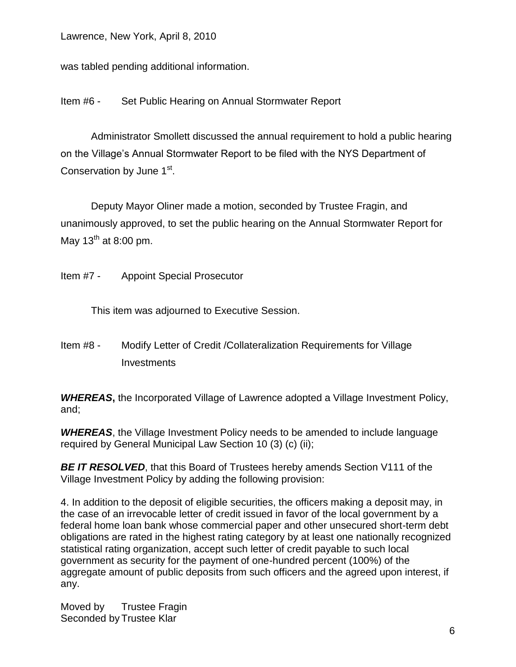was tabled pending additional information.

Item #6 - Set Public Hearing on Annual Stormwater Report

Administrator Smollett discussed the annual requirement to hold a public hearing on the Village's Annual Stormwater Report to be filed with the NYS Department of Conservation by June 1<sup>st</sup>.

Deputy Mayor Oliner made a motion, seconded by Trustee Fragin, and unanimously approved, to set the public hearing on the Annual Stormwater Report for May  $13^{th}$  at 8:00 pm.

Item #7 - Appoint Special Prosecutor

This item was adjourned to Executive Session.

Item #8 - Modify Letter of Credit /Collateralization Requirements for Village **Investments** 

*WHEREAS***,** the Incorporated Village of Lawrence adopted a Village Investment Policy, and;

*WHEREAS*, the Village Investment Policy needs to be amended to include language required by General Municipal Law Section 10 (3) (c) (ii);

**BE IT RESOLVED**, that this Board of Trustees hereby amends Section V111 of the Village Investment Policy by adding the following provision:

4. In addition to the deposit of eligible securities, the officers making a deposit may, in the case of an irrevocable letter of credit issued in favor of the local government by a federal home loan bank whose commercial paper and other unsecured short-term debt obligations are rated in the highest rating category by at least one nationally recognized statistical rating organization, accept such letter of credit payable to such local government as security for the payment of one-hundred percent (100%) of the aggregate amount of public deposits from such officers and the agreed upon interest, if any.

Moved by Trustee Fragin Seconded by Trustee Klar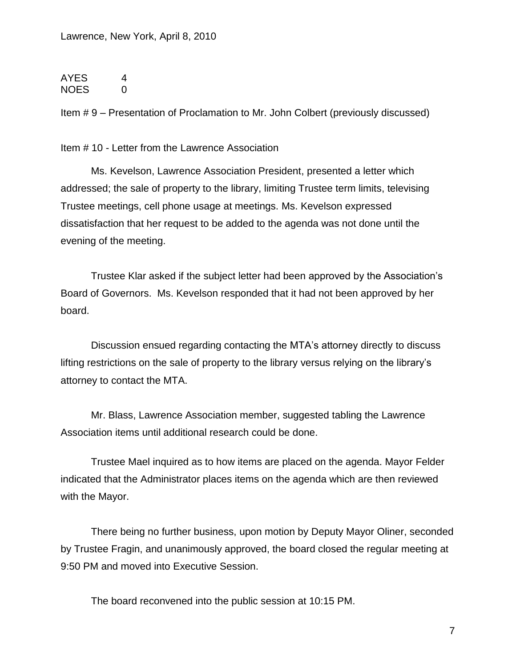AYES 4 NOES 0

Item # 9 – Presentation of Proclamation to Mr. John Colbert (previously discussed)

Item # 10 - Letter from the Lawrence Association

Ms. Kevelson, Lawrence Association President, presented a letter which addressed; the sale of property to the library, limiting Trustee term limits, televising Trustee meetings, cell phone usage at meetings. Ms. Kevelson expressed dissatisfaction that her request to be added to the agenda was not done until the evening of the meeting.

Trustee Klar asked if the subject letter had been approved by the Association's Board of Governors. Ms. Kevelson responded that it had not been approved by her board.

Discussion ensued regarding contacting the MTA's attorney directly to discuss lifting restrictions on the sale of property to the library versus relying on the library's attorney to contact the MTA.

Mr. Blass, Lawrence Association member, suggested tabling the Lawrence Association items until additional research could be done.

Trustee Mael inquired as to how items are placed on the agenda. Mayor Felder indicated that the Administrator places items on the agenda which are then reviewed with the Mayor.

There being no further business, upon motion by Deputy Mayor Oliner, seconded by Trustee Fragin, and unanimously approved, the board closed the regular meeting at 9:50 PM and moved into Executive Session.

The board reconvened into the public session at 10:15 PM.